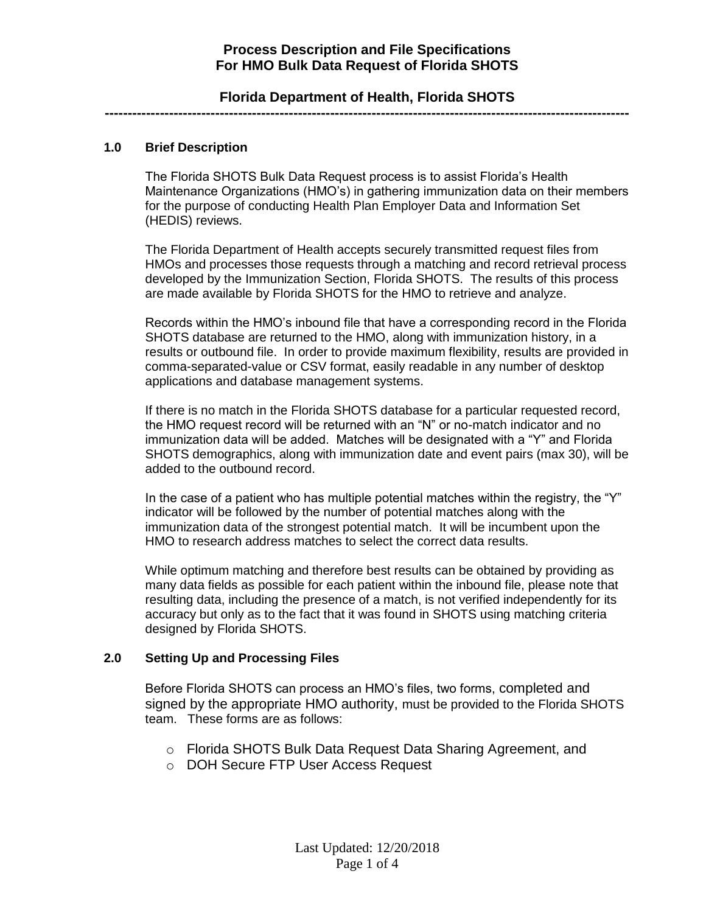### **Florida Department of Health, Florida SHOTS ------------------------------------------------------------------------------------------------------------------**

### **1.0 Brief Description**

The Florida SHOTS Bulk Data Request process is to assist Florida's Health Maintenance Organizations (HMO's) in gathering immunization data on their members for the purpose of conducting Health Plan Employer Data and Information Set (HEDIS) reviews.

The Florida Department of Health accepts securely transmitted request files from HMOs and processes those requests through a matching and record retrieval process developed by the Immunization Section, Florida SHOTS. The results of this process are made available by Florida SHOTS for the HMO to retrieve and analyze.

Records within the HMO's inbound file that have a corresponding record in the Florida SHOTS database are returned to the HMO, along with immunization history, in a results or outbound file. In order to provide maximum flexibility, results are provided in comma-separated-value or CSV format, easily readable in any number of desktop applications and database management systems.

If there is no match in the Florida SHOTS database for a particular requested record, the HMO request record will be returned with an "N" or no-match indicator and no immunization data will be added. Matches will be designated with a "Y" and Florida SHOTS demographics, along with immunization date and event pairs (max 30), will be added to the outbound record.

In the case of a patient who has multiple potential matches within the registry, the " $Y$ " indicator will be followed by the number of potential matches along with the immunization data of the strongest potential match. It will be incumbent upon the HMO to research address matches to select the correct data results.

While optimum matching and therefore best results can be obtained by providing as many data fields as possible for each patient within the inbound file, please note that resulting data, including the presence of a match, is not verified independently for its accuracy but only as to the fact that it was found in SHOTS using matching criteria designed by Florida SHOTS.

#### **2.0 Setting Up and Processing Files**

Before Florida SHOTS can process an HMO's files, two forms, completed and signed by the appropriate HMO authority, must be provided to the Florida SHOTS team. These forms are as follows:

- o Florida SHOTS Bulk Data Request Data Sharing Agreement, and
- o DOH Secure FTP User Access Request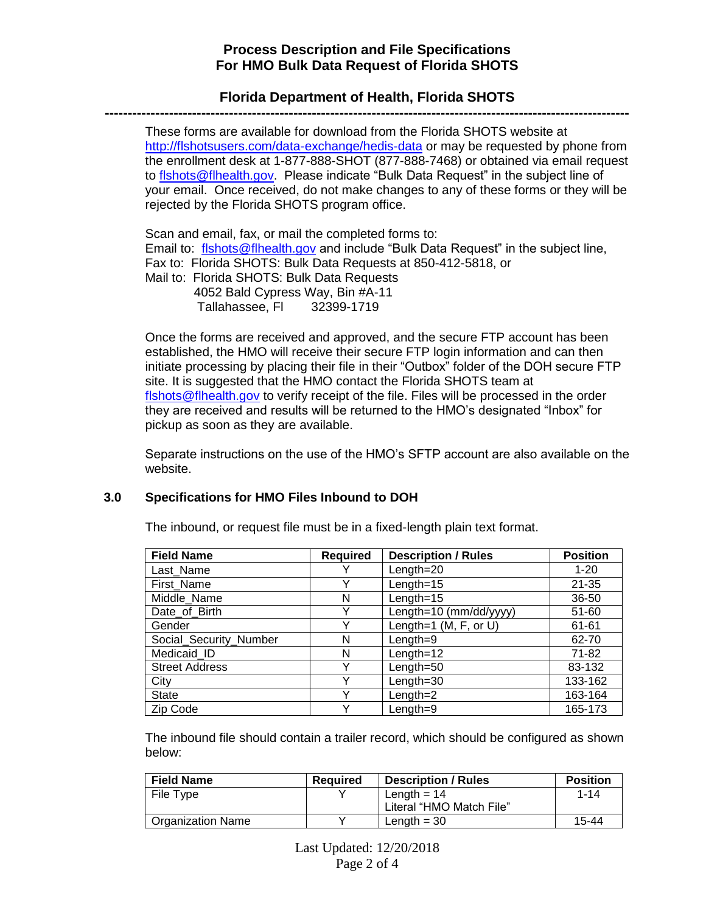### **Florida Department of Health, Florida SHOTS ------------------------------------------------------------------------------------------------------------------**

These forms are available for download from the Florida SHOTS website at <http://flshotsusers.com/data-exchange/hedis-data> or may be requested by phone from the enrollment desk at 1-877-888-SHOT (877-888-7468) or obtained via email request to [flshots@flhealth.gov.](mailto:flshots@flhealth.gov) Please indicate "Bulk Data Request" in the subject line of your email. Once received, do not make changes to any of these forms or they will be rejected by the Florida SHOTS program office.

Scan and email, fax, or mail the completed forms to: Email to: [flshots@flhealth.gov](mailto:flshots@flhealth.gov) and include "Bulk Data Request" in the subject line, Fax to: Florida SHOTS: Bulk Data Requests at 850-412-5818, or Mail to: Florida SHOTS: Bulk Data Requests 4052 Bald Cypress Way, Bin #A-11 Tallahassee, Fl 32399-1719

Once the forms are received and approved, and the secure FTP account has been established, the HMO will receive their secure FTP login information and can then initiate processing by placing their file in their "Outbox" folder of the DOH secure FTP site. It is suggested that the HMO contact the Florida SHOTS team at [flshots@flhealth.gov](mailto:flshots@flhealth.gov) to verify receipt of the file. Files will be processed in the order they are received and results will be returned to the HMO's designated "Inbox" for pickup as soon as they are available.

Separate instructions on the use of the HMO's SFTP account are also available on the website.

#### **3.0 Specifications for HMO Files Inbound to DOH**

| <b>Field Name</b>      | <b>Required</b> | <b>Description / Rules</b> | <b>Position</b> |
|------------------------|-----------------|----------------------------|-----------------|
| Last Name              |                 | Length=20                  | $1 - 20$        |
| First Name             | Υ               | Length= $15$               | $21 - 35$       |
| Middle_Name            | N               | Length= $15$               | 36-50           |
| Date of Birth          | Y               | Length=10 ( $mm/dd/yyy$ )  | 51-60           |
| Gender                 | Y               | Length=1 $(M, F, or U)$    | 61-61           |
| Social_Security_Number | N               | $Length = 9$               | 62-70           |
| Medicaid ID            | N               | Length=12                  | 71-82           |
| <b>Street Address</b>  | Y               | Length=50                  | 83-132          |
| City                   | Y               | $Length = 30$              | 133-162         |
| <b>State</b>           | Y               | Length= $2$                | 163-164         |
| Zip Code               | v               | Length=9                   | 165-173         |

The inbound, or request file must be in a fixed-length plain text format.

The inbound file should contain a trailer record, which should be configured as shown below:

| <b>Field Name</b> | <b>Required</b> | <b>Description / Rules</b> | <b>Position</b> |
|-------------------|-----------------|----------------------------|-----------------|
| File Type         |                 | Length $= 14$              | $1 - 14$        |
|                   |                 | Literal "HMO Match File"   |                 |
| Organization Name |                 | Length $=$ 30              | $15 - 44$       |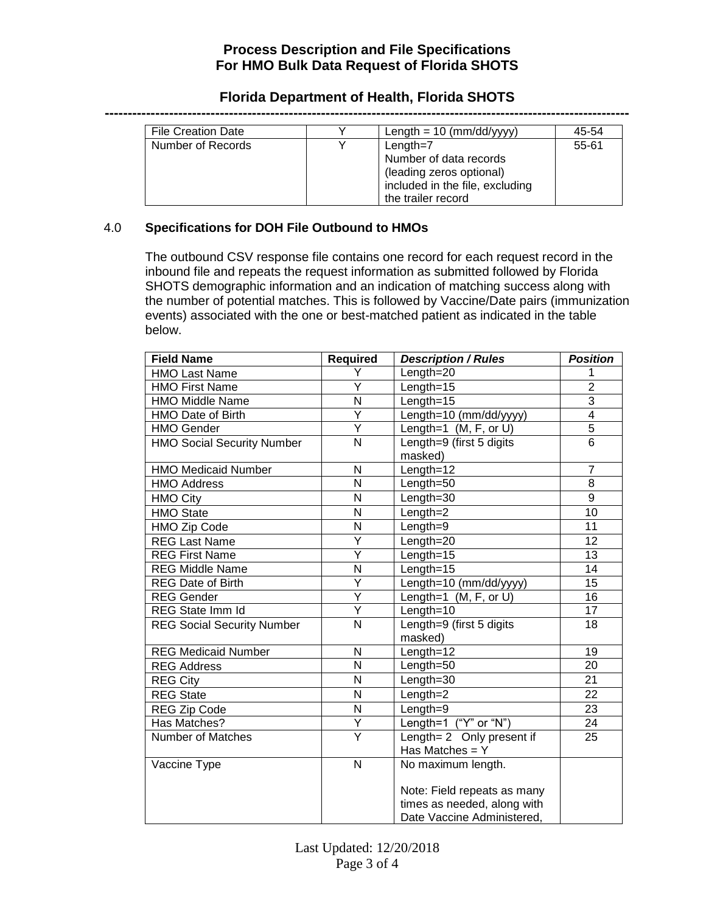### **Florida Department of Health, Florida SHOTS**

| <b>File Creation Date</b> | Length = $10 \ (mm/dd/yyy)$                                                                                                | 45-54     |
|---------------------------|----------------------------------------------------------------------------------------------------------------------------|-----------|
| Number of Records         | Length= $7$<br>Number of data records<br>(leading zeros optional)<br>included in the file, excluding<br>the trailer record | $55 - 61$ |

#### 4.0 **Specifications for DOH File Outbound to HMOs**

The outbound CSV response file contains one record for each request record in the inbound file and repeats the request information as submitted followed by Florida SHOTS demographic information and an indication of matching success along with the number of potential matches. This is followed by Vaccine/Date pairs (immunization events) associated with the one or best-matched patient as indicated in the table below.

| <b>Field Name</b>                 | <b>Required</b>         | <b>Description / Rules</b>  | <b>Position</b>         |
|-----------------------------------|-------------------------|-----------------------------|-------------------------|
| <b>HMO Last Name</b>              | Y                       | Length=20                   | 1                       |
| <b>HMO First Name</b>             | Υ                       | $Length = 15$               | $\overline{2}$          |
| <b>HMO Middle Name</b>            | N                       | $Length = 15$               | $\overline{3}$          |
| HMO Date of Birth                 | Ý                       | Length=10 (mm/dd/yyyy)      | $\overline{\mathbf{4}}$ |
| <b>HMO Gender</b>                 | $\overline{\mathsf{Y}}$ | Length=1 $(M, F, or U)$     | $\overline{5}$          |
| <b>HMO Social Security Number</b> | N                       | Length=9 (first 5 digits    | 6                       |
|                                   |                         | masked)                     |                         |
| <b>HMO Medicaid Number</b>        | N                       | Length=12                   | $\overline{7}$          |
| <b>HMO Address</b>                | N                       | Length=50                   | 8                       |
| <b>HMO City</b>                   | N                       | $Length = 30$               | 9                       |
| <b>HMO State</b>                  | N                       | Length=2                    | 10                      |
| <b>HMO Zip Code</b>               | N                       | Length=9                    | 11                      |
| <b>REG Last Name</b>              | Υ                       | Length=20                   | 12                      |
| <b>REG First Name</b>             | Ÿ                       | Length= $15$                | 13                      |
| <b>REG Middle Name</b>            | N                       | $Length=15$                 | 14                      |
| <b>REG Date of Birth</b>          | Ÿ                       | Length=10 (mm/dd/yyyy)      | 15                      |
| <b>REG Gender</b>                 | Ÿ                       | Length=1 $(M, F, or U)$     | 16                      |
| REG State Imm Id                  | Ÿ                       | $Length=10$                 | 17                      |
| <b>REG Social Security Number</b> | $\overline{\mathsf{N}}$ | Length=9 (first 5 digits    | 18                      |
|                                   |                         | masked)                     |                         |
| <b>REG Medicaid Number</b>        | N                       | Length=12                   | 19                      |
| <b>REG Address</b>                | N                       | Length=50                   | 20                      |
| <b>REG City</b>                   | $\overline{\mathsf{N}}$ | $Length = 30$               | 21                      |
| <b>REG State</b>                  | N                       | $Length = 2$                | 22                      |
| <b>REG Zip Code</b>               | N                       | $Length = 9$                | 23                      |
| Has Matches?                      | Y                       | Length=1 ("Y" or "N")       | 24                      |
| Number of Matches                 | Ÿ                       | Length= 2 Only present if   | 25                      |
|                                   |                         | Has Matches = $Y$           |                         |
| Vaccine Type                      | N                       | No maximum length.          |                         |
|                                   |                         |                             |                         |
|                                   |                         | Note: Field repeats as many |                         |
|                                   |                         | times as needed, along with |                         |
|                                   |                         | Date Vaccine Administered,  |                         |